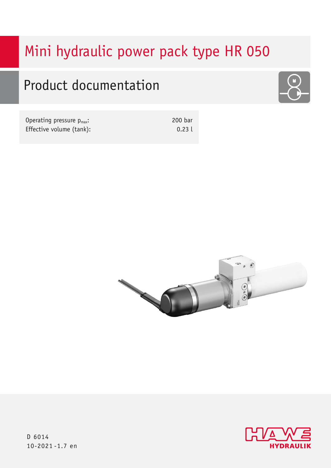# Mini hydraulic power pack type HR 050

# Product documentation



| Operating pressure $p_{max}$ : | 200 bar |
|--------------------------------|---------|
| Effective volume (tank):       | 0.23L   |





D 6014 10-2021 -1.7 en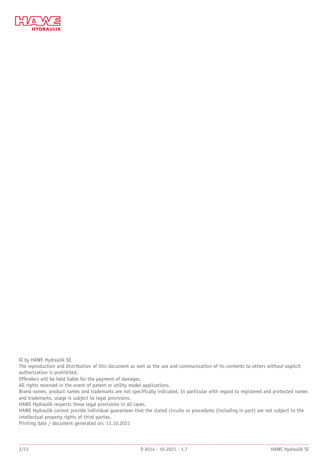

© by HAWE Hydraulik SE.

The reproduction and distribution of this document as well as the use and communication of its contents to others without explicit authorization is prohibited.

Offenders will be held liable for the payment of damages.

All rights reserved in the event of patent or utility model applications.

Brand names, product names and trademarks are not specifically indicated. In particular with regard to registered and protected names and trademarks, usage is subject to legal provisions.

HAWE Hydraulik respects these legal provisions in all cases.

HAWE Hydraulik cannot provide individual guarantees that the stated circuits or procedures (including in part) are not subject to the intellectual property rights of third parties.

Printing date / document generated on: 13.10.2021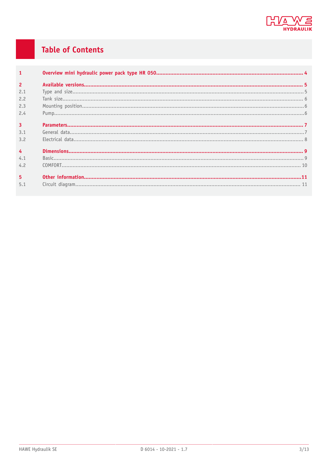

## **Table of Contents**

| $\overline{1}$ |  |
|----------------|--|
| $\overline{2}$ |  |
| 2.1            |  |
| 2.2            |  |
| 2.3            |  |
| 2.4            |  |
| $\overline{3}$ |  |
| 3.1            |  |
| 3.2            |  |
| $\overline{4}$ |  |
| 4.1            |  |
| 4.2            |  |
|                |  |
| 5 <sup>5</sup> |  |
| 5.1            |  |
|                |  |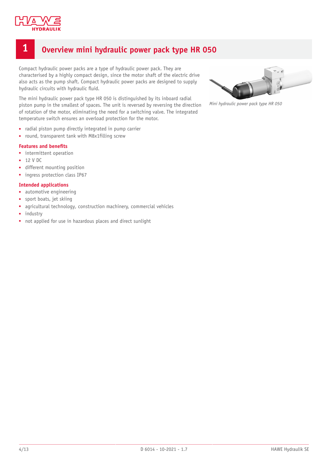

## <span id="page-3-0"></span>**1 Overview mini hydraulic power pack type HR 050**

Compact hydraulic power packs are a type of hydraulic power pack. They are characterised by a highly compact design, since the motor shaft of the electric drive also acts as the pump shaft. Compact hydraulic power packs are designed to supply hydraulic circuits with hydraulic fluid.

The mini hydraulic power pack type HR 050 is distinguished by its inboard radial piston pump in the smallest of spaces. The unit is reversed by reversing the direction of rotation of the motor, eliminating the need for a switching valve. The integrated temperature switch ensures an overload protection for the motor.

- radial piston pump directly integrated in pump carrier
- round, transparent tank with M8x1filling screw

#### **Features and benets**

- intermittent operation
- 12 V DC
- different mounting position
- ingress protection class IP67

#### **Intended applications**

- automotive engineering
- sport boats, jet skiing
- agricultural technology, construction machinery, commercial vehicles
- industry
- not applied for use in hazardous places and direct sunlight



*Mini hydraulic power pack type HR 050*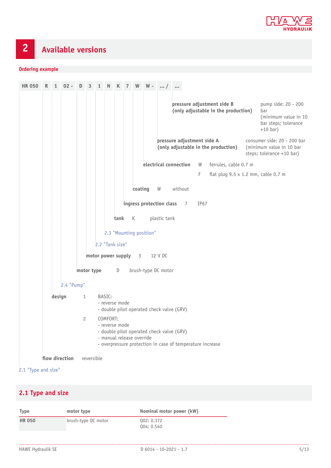

## <span id="page-4-0"></span>**2 Available versions**

#### **Ordering example**

**HR 050 R 1 02 - D 3 1 N K 7 W W - ... / ... pressure adjustment side B (only adjustable in the production)** pump side: 20 - 200 bar (minimum value in 10 bar steps; tolerance +10 bar) **pressure adjustment side A (only adjustable in the production)** consumer side: 20 - 200 bar (minimum value in 10 bar steps; tolerance +10 bar) **electrical connection** W ferrules, cable 0.7 m F flat plug  $9.5 \times 1.2$  mm, cable 0.7 m **coating** W without **ingress protection class** 7 IP67 **tank** K plastic tank 2.3 ["Mounting](#page-5-1) position" 2.2 ["Tank](#page-5-0) size" **motor power supply** 3 12 V DC **motor type** D brush-type DC motor [2.4 "Pump"](#page-5-2) **design** 1 BASIC: - reverse mode - double pilot operated check valve (GRV) 2 COMFORT: - reverse mode - double pilot operated check valve (GRV) - manual release override - overpressure protection in case of temperature increase **flow direction** reversible 2.1 ["Type](#page-4-1) and size"

#### <span id="page-4-1"></span>**2.1 Type and size**

| <b>Type</b>   | motor type          | Nominal motor power (kW) |
|---------------|---------------------|--------------------------|
| <b>HR 050</b> | brush-type DC motor | 002: 0.372<br>004: 0.540 |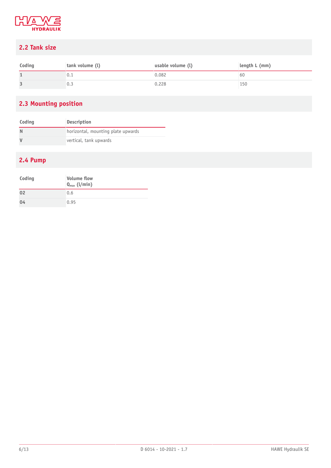

## <span id="page-5-0"></span>**2.2 Tank size**

| Coding | tank volume (l) | usable volume (l) | length L (mm) |
|--------|-----------------|-------------------|---------------|
|        |                 | 0.082             | σÜ            |
|        |                 | 0.228             | 150           |

## <span id="page-5-1"></span>**2.3 Mounting position**

| Coding | <b>Description</b>                 |
|--------|------------------------------------|
|        | horizontal, mounting plate upwards |
|        | vertical, tank upwards             |

#### <span id="page-5-2"></span>**2.4 Pump**

| Coding | <b>Volume flow</b><br>$Q_{max}$ (l/min) |
|--------|-----------------------------------------|
| 02     | 0.6                                     |
| 04     | 0.95                                    |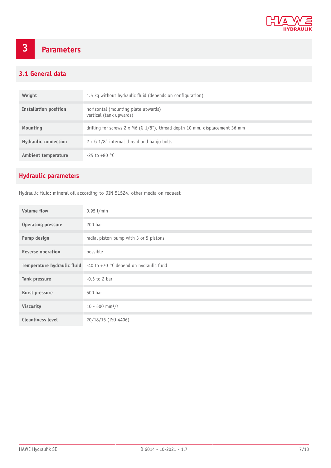

## <span id="page-6-0"></span>**3 Parameters**

#### <span id="page-6-1"></span>**3.1 General data**

| Weight                      | 1.5 kg without hydraulic fluid (depends on configuration)                             |
|-----------------------------|---------------------------------------------------------------------------------------|
| Installation position       | horizontal (mounting plate upwards)<br>vertical (tank upwards)                        |
| Mounting                    | drilling for screws $2 \times M6$ (G $1/8$ "), thread depth 10 mm, displacement 36 mm |
| <b>Hydraulic connection</b> | $2 \times G$ 1/8" internal thread and banjo bolts                                     |
| <b>Ambient temperature</b>  | $-25$ to $+80$ °C                                                                     |

## **Hydraulic parameters**

Hydraulic fluid: mineral oil according to DIN 51524, other media on request

| <b>Volume flow</b>          | $0.95$ l/min                            |
|-----------------------------|-----------------------------------------|
| <b>Operating pressure</b>   | 200 bar                                 |
| Pump design                 | radial piston pump with 3 or 5 pistons  |
| <b>Reverse operation</b>    | possible                                |
| Temperature hydraulic fluid | -40 to +70 °C depend on hydraulic fluid |
| Tank pressure               | $-0.5$ to 2 bar                         |
| <b>Burst pressure</b>       | 500 bar                                 |
| Viscosity                   | $10 - 500$ mm <sup>2</sup> /s           |
| <b>Cleanliness level</b>    | 20/18/15 (ISO 4406)                     |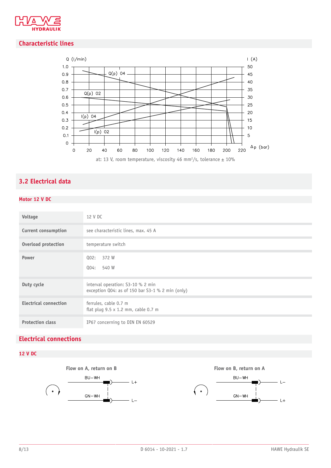

#### **Characteristic lines**



### <span id="page-7-0"></span>**3.2 Electrical data**

#### **Motor 12 V DC**

| Voltage                      | 12 V DC                                                                               |
|------------------------------|---------------------------------------------------------------------------------------|
| <b>Current consumption</b>   | see characteristic lines, max. 45 A                                                   |
| Overload protection          | temperature switch                                                                    |
| Power                        | 372 W<br>002:<br>540 W<br>004:                                                        |
| Duty cycle                   | interval operation: S3-10 % 2 min<br>exception Q04: as of 150 bar S3-1 % 2 min (only) |
| <b>Electrical connection</b> | ferrules, cable 0.7 m<br>flat plug $9.5 \times 1.2$ mm, cable 0.7 m                   |
| <b>Protection class</b>      | IP67 concerning to DIN EN 60529                                                       |

#### **Electrical connections**





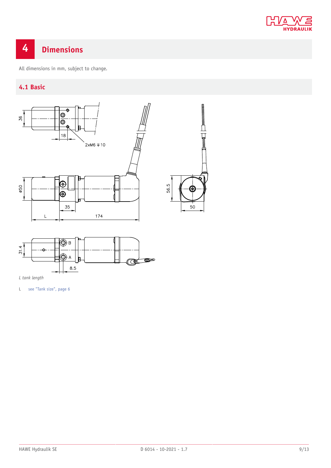

## <span id="page-8-0"></span>**4 Dimensions**

<span id="page-8-1"></span>All dimensions in mm, subject to change.

#### **4.1 Basic**



*L tank length*

L see "Tank [size",](#page-5-0) page 6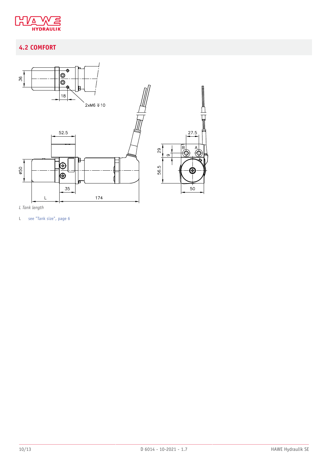

## <span id="page-9-0"></span>**4.2 COMFORT**



*L Tank length*

L see "Tank [size",](#page-5-0) page 6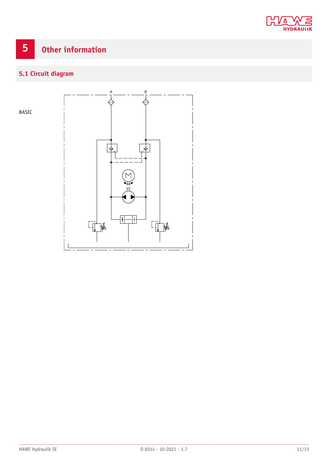

# <span id="page-10-0"></span>**5 Other information**

## <span id="page-10-1"></span>**5.1 Circuit diagram**

**BASIC**

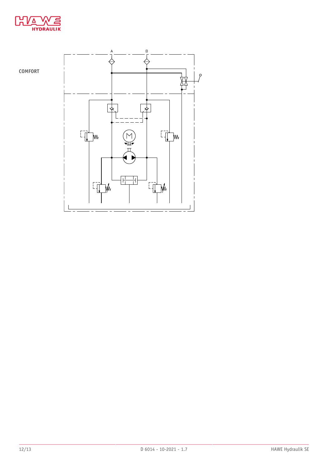



**COMFORT**